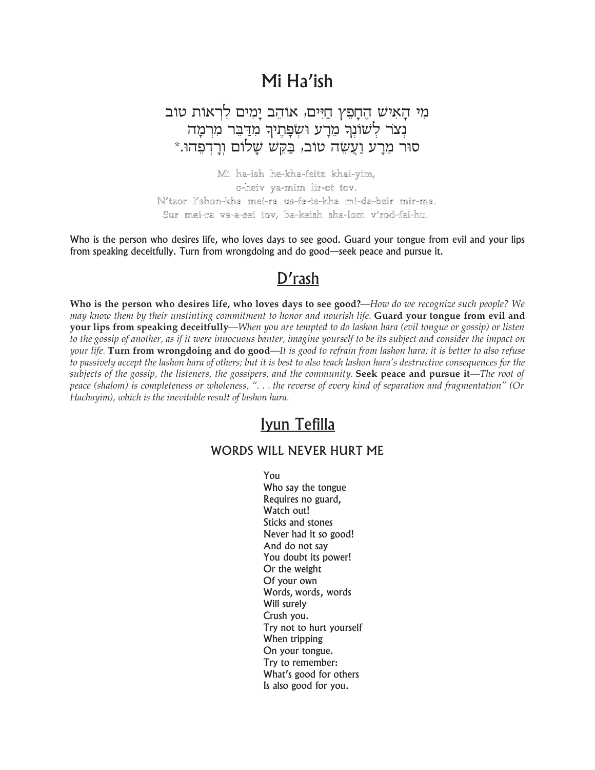## Mi Ha'ish

מי האיש החפץ חיים, אוהב ימים לראות טוב נצר לשונר מרע ושפתיר מדבר מרמה סוּר מֵרָע וַעֲשֵׂה טוֹב, בַּקֵשׁ שָׁלוֹם וִרָדְפָהוּ.\*

Mi ha-ish he-kha-feitz khai-yim, o-heiv ya-mim lir-ot tov. N'tzor l'shon-kha mei-ra us-fa-te-kha mi-da-beir mir-ma. Sur mei-ra va-a-sei tov, ba-keish sha-lom v'rod-fei-hu.

Who is the person who desires life, who loves days to see good. Guard your tongue from evil and your lips from speaking deceitfully. Turn from wrongdoing and do good—seek peace and pursue it.

## $D'$ rash

Who is the person who desires life, who loves days to see good?—How do we recognize such people? We may know them by their unstinting commitment to honor and nourish life. Guard your tongue from evil and vour lips from speaking deceitfully—When you are tempted to do lashon hara (evil tongue or gossip) or listen to the gossip of another, as if it were innocuous banter, imagine yourself to be its subject and consider the impact on your life. Turn from wrongdoing and do good—It is good to refrain from lashon hara; it is better to also refuse to passively accept the lashon hara of others; but it is best to also teach lashon hara's destructive consequences for the subjects of the gossip, the listeners, the gossipers, and the community. Seek peace and pursue it—The root of peace (shalom) is completeness or wholeness, "... the reverse of every kind of separation and fragmentation" (Or Hachayim), which is the inevitable result of lashon hara.

## Iyun Tefilla

## WORDS WILL NEVER HURT ME

YOU Who say the tongue Requires no guard, Watch out! Sticks and stones Never had it so good! And do not say You doubt its power! Or the weight Of your own Words, words, words Will surely Crush you. Try not to hurt yourself When tripping On your tongue. Try to remember: What's good for others Is also good for you.